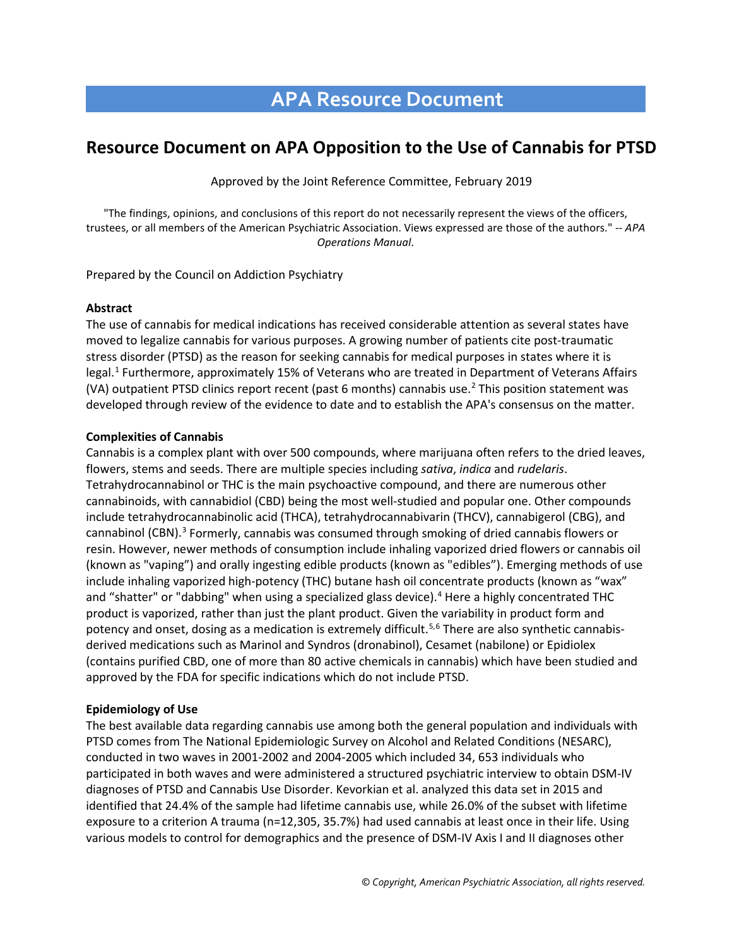# **APA Resource Document**

## **Resource Document on APA Opposition to the Use of Cannabis for PTSD**

Approved by the Joint Reference Committee, February 2019

"The findings, opinions, and conclusions of this report do not necessarily represent the views of the officers, trustees, or all members of the American Psychiatric Association. Views expressed are those of the authors." -- *APA Operations Manual*.

Prepared by the Council on Addiction Psychiatry

#### **Abstract**

The use of cannabis for medical indications has received considerable attention as several states have moved to legalize cannabis for various purposes. A growing number of patients cite post-traumatic stress disorder (PTSD) as the reason for seeking cannabis for medical purposes in states where it is legal.<sup>[1](#page-3-0)</sup> Furthermore, approximately 15% of Veterans who are treated in Department of Veterans Affairs (VA) outpatient PTSD clinics report recent (past 6 months) cannabis use. [2](#page-3-1) This position statement was developed through review of the evidence to date and to establish the APA's consensus on the matter.

#### **Complexities of Cannabis**

Cannabis is a complex plant with over 500 compounds, where marijuana often refers to the dried leaves, flowers, stems and seeds. There are multiple species including *sativa*, *indica* and *rudelaris*. Tetrahydrocannabinol or THC is the main psychoactive compound, and there are numerous other cannabinoids, with cannabidiol (CBD) being the most well-studied and popular one. Other compounds include tetrahydrocannabinolic acid (THCA), tetrahydrocannabivarin (THCV), cannabigerol (CBG), and cannabinol (CBN).[3](#page-3-2) Formerly, cannabis was consumed through smoking of dried cannabis flowers or resin. However, newer methods of consumption include inhaling vaporized dried flowers or cannabis oil (known as "vaping") and orally ingesting edible products (known as "edibles"). Emerging methods of use include inhaling vaporized high-potency (THC) butane hash oil concentrate products (known as "wax" and "shatter" or "dabbing" when using a specialized glass device). [4](#page-3-3) Here a highly concentrated THC product is vaporized, rather than just the plant product. Given the variability in product form and potency and onset, dosing as a medication is extremely difficult.<sup>[5](#page-3-4),[6](#page-3-5)</sup> There are also synthetic cannabisderived medications such as Marinol and Syndros (dronabinol), Cesamet (nabilone) or Epidiolex (contains purified CBD, one of more than 80 active chemicals in cannabis) which have been studied and approved by the FDA for specific indications which do not include PTSD.

#### **Epidemiology of Use**

The best available data regarding cannabis use among both the general population and individuals with PTSD comes from The National Epidemiologic Survey on Alcohol and Related Conditions (NESARC), conducted in two waves in 2001-2002 and 2004-2005 which included 34, 653 individuals who participated in both waves and were administered a structured psychiatric interview to obtain DSM-IV diagnoses of PTSD and Cannabis Use Disorder. Kevorkian et al. analyzed this data set in 2015 and identified that 24.4% of the sample had lifetime cannabis use, while 26.0% of the subset with lifetime exposure to a criterion A trauma (n=12,305, 35.7%) had used cannabis at least once in their life. Using various models to control for demographics and the presence of DSM-IV Axis I and II diagnoses other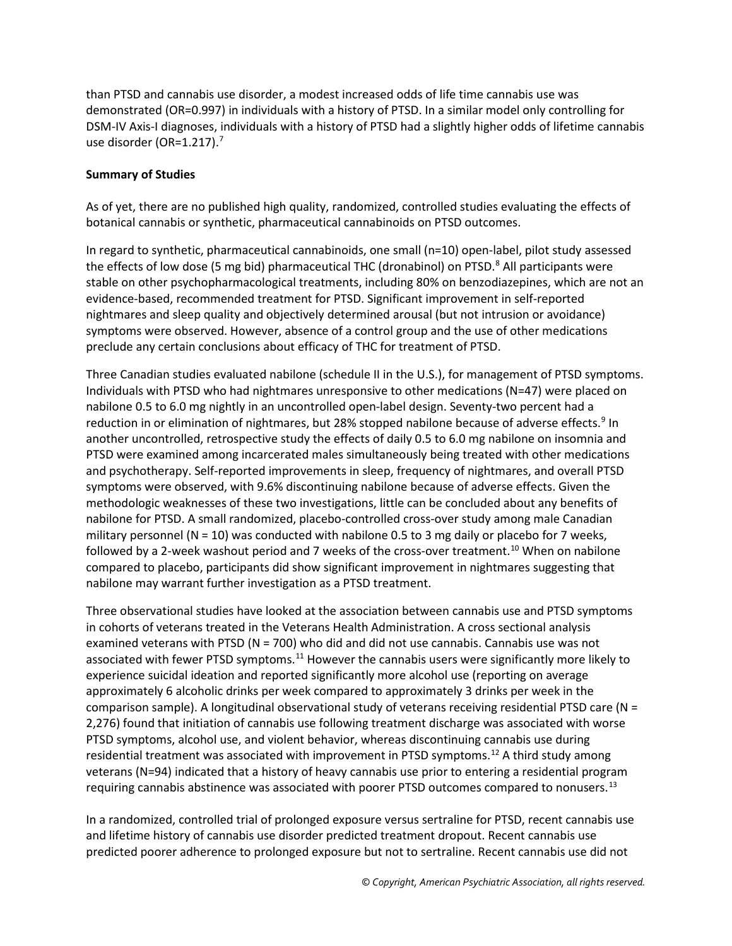than PTSD and cannabis use disorder, a modest increased odds of life time cannabis use was demonstrated (OR=0.997) in individuals with a history of PTSD. In a similar model only controlling for DSM-IV Axis-I diagnoses, individuals with a history of PTSD had a slightly higher odds of lifetime cannabis use disorder (OR=1.21[7](#page-3-6)).<sup>7</sup>

### **Summary of Studies**

As of yet, there are no published high quality, randomized, controlled studies evaluating the effects of botanical cannabis or synthetic, pharmaceutical cannabinoids on PTSD outcomes.

In regard to synthetic, pharmaceutical cannabinoids, one small (n=10) open-label, pilot study assessed the effects of low dose (5 mg bid) pharmaceutical THC (dronabinol) on PTSD.<sup>[8](#page-4-0)</sup> All participants were stable on other psychopharmacological treatments, including 80% on benzodiazepines, which are not an evidence-based, recommended treatment for PTSD. Significant improvement in self-reported nightmares and sleep quality and objectively determined arousal (but not intrusion or avoidance) symptoms were observed. However, absence of a control group and the use of other medications preclude any certain conclusions about efficacy of THC for treatment of PTSD.

Three Canadian studies evaluated nabilone (schedule II in the U.S.), for management of PTSD symptoms. Individuals with PTSD who had nightmares unresponsive to other medications (N=47) were placed on nabilone 0.5 to 6.0 mg nightly in an uncontrolled open-label design. Seventy-two percent had a reduction in or elimination of nightmares, but 28% stopped nabilone because of adverse effects.<sup>[9](#page-4-1)</sup> In another uncontrolled, retrospective study the effects of daily 0.5 to 6.0 mg nabilone on insomnia and PTSD were examined among incarcerated males simultaneously being treated with other medications and psychotherapy. Self-reported improvements in sleep, frequency of nightmares, and overall PTSD symptoms were observed, with 9.6% discontinuing nabilone because of adverse effects. Given the methodologic weaknesses of these two investigations, little can be concluded about any benefits of nabilone for PTSD. A small randomized, placebo-controlled cross-over study among male Canadian military personnel ( $N = 10$ ) was conducted with nabilone 0.5 to 3 mg daily or placebo for 7 weeks, followed by a 2-week washout period and 7 weeks of the cross-over treatment.<sup>[10](#page-4-2)</sup> When on nabilone compared to placebo, participants did show significant improvement in nightmares suggesting that nabilone may warrant further investigation as a PTSD treatment.

Three observational studies have looked at the association between cannabis use and PTSD symptoms in cohorts of veterans treated in the Veterans Health Administration. A cross sectional analysis examined veterans with PTSD ( $N = 700$ ) who did and did not use cannabis. Cannabis use was not associated with fewer PTSD symptoms.<sup>[11](#page-4-3)</sup> However the cannabis users were significantly more likely to experience suicidal ideation and reported significantly more alcohol use (reporting on average approximately 6 alcoholic drinks per week compared to approximately 3 drinks per week in the comparison sample). A longitudinal observational study of veterans receiving residential PTSD care (N = 2,276) found that initiation of cannabis use following treatment discharge was associated with worse PTSD symptoms, alcohol use, and violent behavior, whereas discontinuing cannabis use during residential treatment was associated with improvement in PTSD symptoms.<sup>[12](#page-4-4)</sup> A third study among veterans (N=94) indicated that a history of heavy cannabis use prior to entering a residential program requiring cannabis abstinence was associated with poorer PTSD outcomes compared to nonusers.<sup>[13](#page-4-5)</sup>

In a randomized, controlled trial of prolonged exposure versus sertraline for PTSD, recent cannabis use and lifetime history of cannabis use disorder predicted treatment dropout. Recent cannabis use predicted poorer adherence to prolonged exposure but not to sertraline. Recent cannabis use did not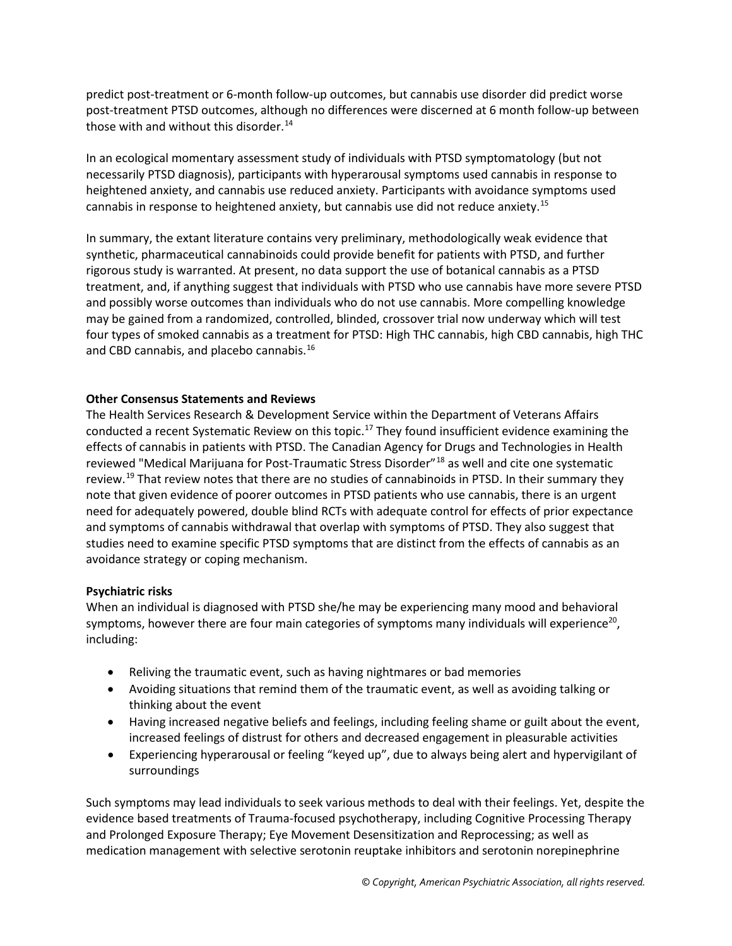predict post-treatment or 6-month follow-up outcomes, but cannabis use disorder did predict worse post-treatment PTSD outcomes, although no differences were discerned at 6 month follow-up between those with and without this disorder. [14](#page-4-6)

In an ecological momentary assessment study of individuals with PTSD symptomatology (but not necessarily PTSD diagnosis), participants with hyperarousal symptoms used cannabis in response to heightened anxiety, and cannabis use reduced anxiety. Participants with avoidance symptoms used cannabis in response to heightened anxiety, but cannabis use did not reduce anxiety. [15](#page-4-7)

In summary, the extant literature contains very preliminary, methodologically weak evidence that synthetic, pharmaceutical cannabinoids could provide benefit for patients with PTSD, and further rigorous study is warranted. At present, no data support the use of botanical cannabis as a PTSD treatment, and, if anything suggest that individuals with PTSD who use cannabis have more severe PTSD and possibly worse outcomes than individuals who do not use cannabis. More compelling knowledge may be gained from a randomized, controlled, blinded, crossover trial now underway which will test four types of smoked cannabis as a treatment for PTSD: High THC cannabis, high CBD cannabis, high THC and CBD cannabis, and placebo cannabis.<sup>[16](#page-4-8)</sup>

#### **Other Consensus Statements and Reviews**

The Health Services Research & Development Service within the Department of Veterans Affairs conducted a recent Systematic Review on this topic.<sup>[17](#page-4-9)</sup> They found insufficient evidence examining the effects of cannabis in patients with PTSD. The Canadian Agency for Drugs and Technologies in Health reviewed "Medical Marijuana for Post-Traumatic Stress Disorder"[18](#page-4-10) as well and cite one systematic review.<sup>[19](#page-4-11)</sup> That review notes that there are no studies of cannabinoids in PTSD. In their summary they note that given evidence of poorer outcomes in PTSD patients who use cannabis, there is an urgent need for adequately powered, double blind RCTs with adequate control for effects of prior expectance and symptoms of cannabis withdrawal that overlap with symptoms of PTSD. They also suggest that studies need to examine specific PTSD symptoms that are distinct from the effects of cannabis as an avoidance strategy or coping mechanism.

#### **Psychiatric risks**

When an individual is diagnosed with PTSD she/he may be experiencing many mood and behavioral symptoms, however there are four main categories of symptoms many individuals will experience<sup>20</sup>, including:

- Reliving the traumatic event, such as having nightmares or bad memories
- Avoiding situations that remind them of the traumatic event, as well as avoiding talking or thinking about the event
- Having increased negative beliefs and feelings, including feeling shame or guilt about the event, increased feelings of distrust for others and decreased engagement in pleasurable activities
- Experiencing hyperarousal or feeling "keyed up", due to always being alert and hypervigilant of surroundings

Such symptoms may lead individuals to seek various methods to deal with their feelings. Yet, despite the evidence based treatments of Trauma-focused psychotherapy, including Cognitive Processing Therapy and Prolonged Exposure Therapy; Eye Movement Desensitization and Reprocessing; as well as medication management with selective serotonin reuptake inhibitors and serotonin norepinephrine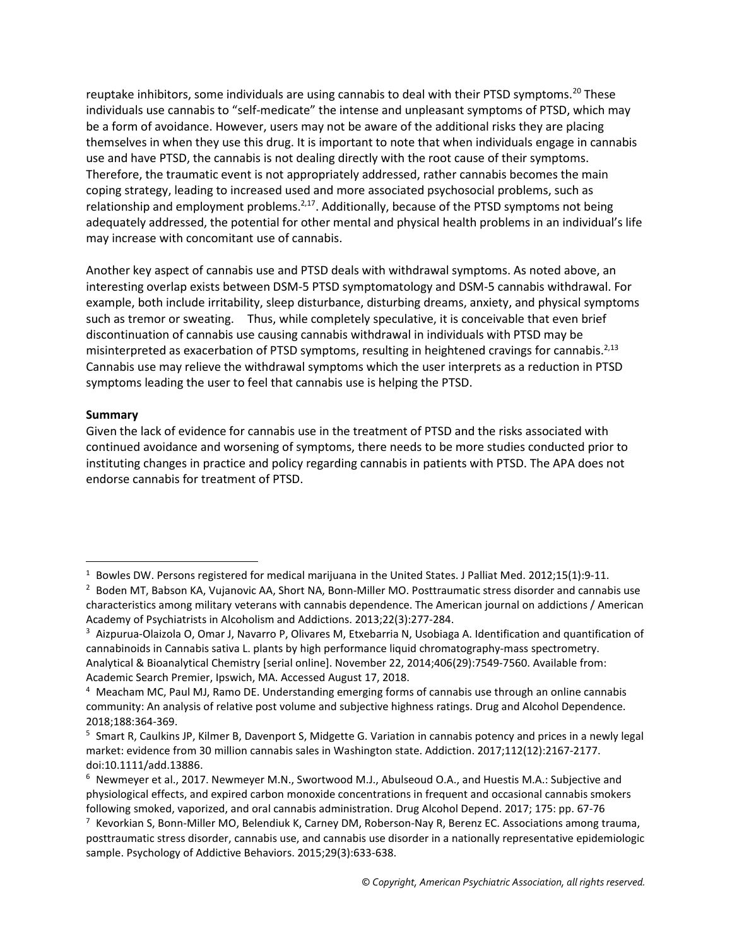reuptake inhibitors, some individuals are using cannabis to deal with their PTSD symptoms.<sup>[20](#page-4-12)</sup> These individuals use cannabis to "self-medicate" the intense and unpleasant symptoms of PTSD, which may be a form of avoidance. However, users may not be aware of the additional risks they are placing themselves in when they use this drug. It is important to note that when individuals engage in cannabis use and have PTSD, the cannabis is not dealing directly with the root cause of their symptoms. Therefore, the traumatic event is not appropriately addressed, rather cannabis becomes the main coping strategy, leading to increased used and more associated psychosocial problems, such as relationship and employment problems.<sup>2,17</sup>. Additionally, because of the PTSD symptoms not being adequately addressed, the potential for other mental and physical health problems in an individual's life may increase with concomitant use of cannabis.

Another key aspect of cannabis use and PTSD deals with withdrawal symptoms. As noted above, an interesting overlap exists between DSM-5 PTSD symptomatology and DSM-5 cannabis withdrawal. For example, both include irritability, sleep disturbance, disturbing dreams, anxiety, and physical symptoms such as tremor or sweating. Thus, while completely speculative, it is conceivable that even brief discontinuation of cannabis use causing cannabis withdrawal in individuals with PTSD may be misinterpreted as exacerbation of PTSD symptoms, resulting in heightened cravings for cannabis.<sup>2,13</sup> Cannabis use may relieve the withdrawal symptoms which the user interprets as a reduction in PTSD symptoms leading the user to feel that cannabis use is helping the PTSD.

#### **Summary**

l

Given the lack of evidence for cannabis use in the treatment of PTSD and the risks associated with continued avoidance and worsening of symptoms, there needs to be more studies conducted prior to instituting changes in practice and policy regarding cannabis in patients with PTSD. The APA does not endorse cannabis for treatment of PTSD.

<span id="page-3-0"></span><sup>&</sup>lt;sup>1</sup> Bowles DW. Persons registered for medical marijuana in the United States. J Palliat Med. 2012;15(1):9-11.

<span id="page-3-1"></span><sup>&</sup>lt;sup>2</sup> Boden MT, Babson KA, Vujanovic AA, Short NA, Bonn-Miller MO. Posttraumatic stress disorder and cannabis use characteristics among military veterans with cannabis dependence. The American journal on addictions / American Academy of Psychiatrists in Alcoholism and Addictions. 2013;22(3):277-284.

<span id="page-3-2"></span><sup>3</sup> Aizpurua-Olaizola O, Omar J, Navarro P, Olivares M, Etxebarria N, Usobiaga A. Identification and quantification of cannabinoids in Cannabis sativa L. plants by high performance liquid chromatography-mass spectrometry. Analytical & Bioanalytical Chemistry [serial online]. November 22, 2014;406(29):7549-7560. Available from: Academic Search Premier, Ipswich, MA. Accessed August 17, 2018.

<span id="page-3-3"></span><sup>4</sup> Meacham MC, Paul MJ, Ramo DE. Understanding emerging forms of cannabis use through an online cannabis community: An analysis of relative post volume and subjective highness ratings. Drug and Alcohol Dependence. 2018;188:364-369.

<span id="page-3-4"></span><sup>&</sup>lt;sup>5</sup> Smart R, Caulkins JP, Kilmer B, Davenport S, Midgette G. Variation in cannabis potency and prices in a newly legal market: evidence from 30 million cannabis sales in Washington state. Addiction. 2017;112(12):2167-2177. doi:10.1111/add.13886.

<span id="page-3-5"></span><sup>6</sup> Newmeyer et al., 2017. Newmeyer M.N., Swortwood M.J., Abulseoud O.A., and Huestis M.A.: Subjective and physiological effects, and expired carbon monoxide concentrations in frequent and occasional cannabis smokers following smoked, vaporized, and oral cannabis administration. Drug Alcohol Depend. 2017; 175: pp. 67-76

<span id="page-3-6"></span> $7$  Kevorkian S, Bonn-Miller MO, Belendiuk K, Carney DM, Roberson-Nay R, Berenz EC. Associations among trauma, posttraumatic stress disorder, cannabis use, and cannabis use disorder in a nationally representative epidemiologic sample. Psychology of Addictive Behaviors. 2015;29(3):633-638.